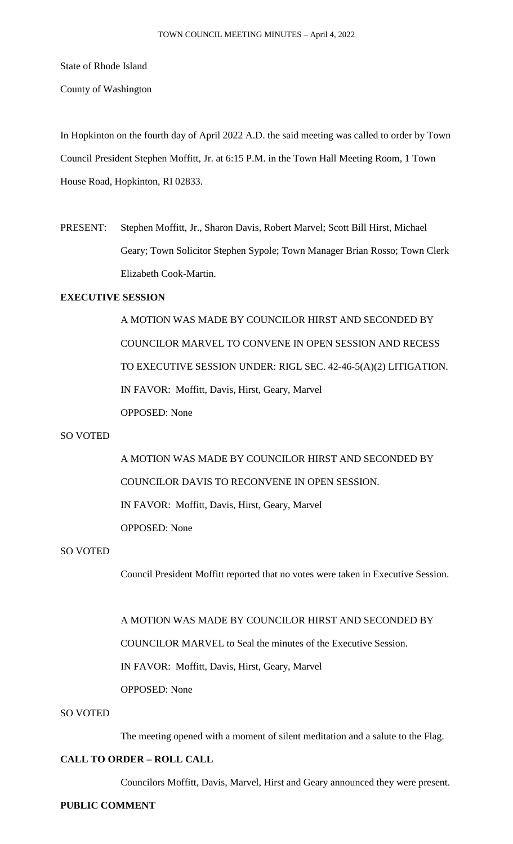State of Rhode Island

County of Washington

In Hopkinton on the fourth day of April 2022 A.D. the said meeting was called to order by Town Council President Stephen Moffitt, Jr. at 6:15 P.M. in the Town Hall Meeting Room, 1 Town House Road, Hopkinton, RI 02833.

PRESENT: Stephen Moffitt, Jr., Sharon Davis, Robert Marvel; Scott Bill Hirst, Michael Geary; Town Solicitor Stephen Sypole; Town Manager Brian Rosso; Town Clerk Elizabeth Cook-Martin.

# **EXECUTIVE SESSION**

A MOTION WAS MADE BY COUNCILOR HIRST AND SECONDED BY COUNCILOR MARVEL TO CONVENE IN OPEN SESSION AND RECESS TO EXECUTIVE SESSION UNDER: RIGL SEC. 42-46-5(A)(2) LITIGATION. IN FAVOR: Moffitt, Davis, Hirst, Geary, Marvel OPPOSED: None

### SO VOTED

A MOTION WAS MADE BY COUNCILOR HIRST AND SECONDED BY COUNCILOR DAVIS TO RECONVENE IN OPEN SESSION. IN FAVOR: Moffitt, Davis, Hirst, Geary, Marvel OPPOSED: None

# SO VOTED

Council President Moffitt reported that no votes were taken in Executive Session.

A MOTION WAS MADE BY COUNCILOR HIRST AND SECONDED BY

COUNCILOR MARVEL to Seal the minutes of the Executive Session.

IN FAVOR: Moffitt, Davis, Hirst, Geary, Marvel

OPPOSED: None

# SO VOTED

The meeting opened with a moment of silent meditation and a salute to the Flag.

# **CALL TO ORDER – ROLL CALL**

Councilors Moffitt, Davis, Marvel, Hirst and Geary announced they were present.

## **PUBLIC COMMENT**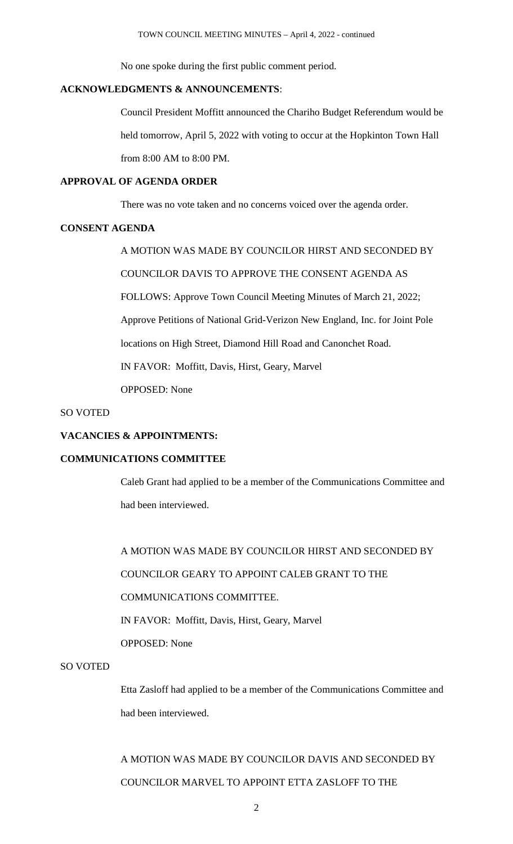No one spoke during the first public comment period.

# **ACKNOWLEDGMENTS & ANNOUNCEMENTS**:

Council President Moffitt announced the Chariho Budget Referendum would be held tomorrow, April 5, 2022 with voting to occur at the Hopkinton Town Hall from 8:00 AM to 8:00 PM.

# **APPROVAL OF AGENDA ORDER**

There was no vote taken and no concerns voiced over the agenda order.

## **CONSENT AGENDA**

A MOTION WAS MADE BY COUNCILOR HIRST AND SECONDED BY COUNCILOR DAVIS TO APPROVE THE CONSENT AGENDA AS FOLLOWS: Approve Town Council Meeting Minutes of March 21, 2022; Approve Petitions of National Grid-Verizon New England, Inc. for Joint Pole locations on High Street, Diamond Hill Road and Canonchet Road. IN FAVOR: Moffitt, Davis, Hirst, Geary, Marvel OPPOSED: None

SO VOTED

## **VACANCIES & APPOINTMENTS:**

## **COMMUNICATIONS COMMITTEE**

Caleb Grant had applied to be a member of the Communications Committee and had been interviewed.

A MOTION WAS MADE BY COUNCILOR HIRST AND SECONDED BY COUNCILOR GEARY TO APPOINT CALEB GRANT TO THE COMMUNICATIONS COMMITTEE. IN FAVOR: Moffitt, Davis, Hirst, Geary, Marvel OPPOSED: None

# SO VOTED

Etta Zasloff had applied to be a member of the Communications Committee and had been interviewed.

# A MOTION WAS MADE BY COUNCILOR DAVIS AND SECONDED BY COUNCILOR MARVEL TO APPOINT ETTA ZASLOFF TO THE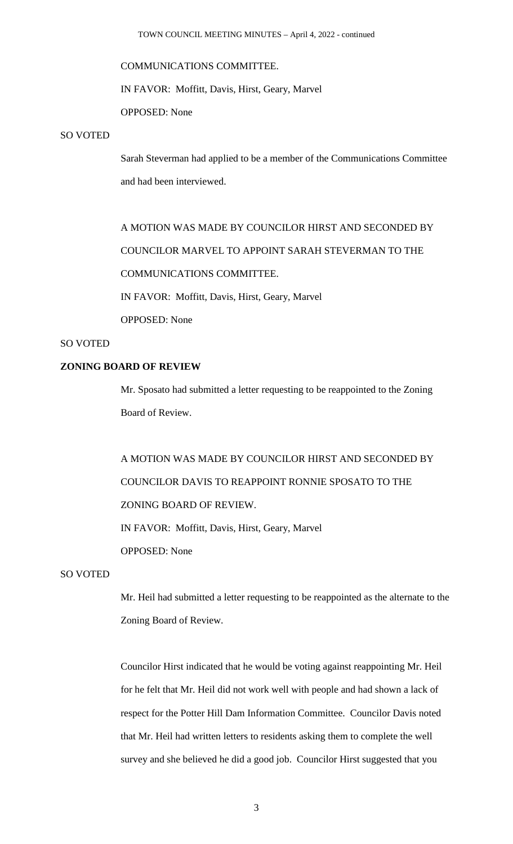## COMMUNICATIONS COMMITTEE.

IN FAVOR: Moffitt, Davis, Hirst, Geary, Marvel

OPPOSED: None

## SO VOTED

Sarah Steverman had applied to be a member of the Communications Committee and had been interviewed.

A MOTION WAS MADE BY COUNCILOR HIRST AND SECONDED BY COUNCILOR MARVEL TO APPOINT SARAH STEVERMAN TO THE COMMUNICATIONS COMMITTEE. IN FAVOR: Moffitt, Davis, Hirst, Geary, Marvel

OPPOSED: None

## SO VOTED

# **ZONING BOARD OF REVIEW**

Mr. Sposato had submitted a letter requesting to be reappointed to the Zoning Board of Review.

A MOTION WAS MADE BY COUNCILOR HIRST AND SECONDED BY COUNCILOR DAVIS TO REAPPOINT RONNIE SPOSATO TO THE ZONING BOARD OF REVIEW. IN FAVOR: Moffitt, Davis, Hirst, Geary, Marvel OPPOSED: None

## SO VOTED

Mr. Heil had submitted a letter requesting to be reappointed as the alternate to the Zoning Board of Review.

Councilor Hirst indicated that he would be voting against reappointing Mr. Heil for he felt that Mr. Heil did not work well with people and had shown a lack of respect for the Potter Hill Dam Information Committee. Councilor Davis noted that Mr. Heil had written letters to residents asking them to complete the well survey and she believed he did a good job. Councilor Hirst suggested that you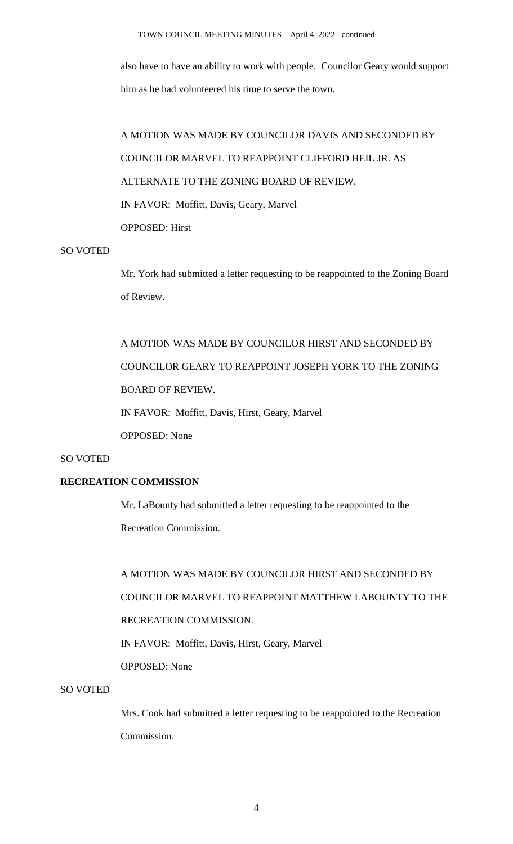also have to have an ability to work with people. Councilor Geary would support him as he had volunteered his time to serve the town.

A MOTION WAS MADE BY COUNCILOR DAVIS AND SECONDED BY COUNCILOR MARVEL TO REAPPOINT CLIFFORD HEIL JR. AS ALTERNATE TO THE ZONING BOARD OF REVIEW. IN FAVOR: Moffitt, Davis, Geary, Marvel OPPOSED: Hirst

## SO VOTED

Mr. York had submitted a letter requesting to be reappointed to the Zoning Board of Review.

A MOTION WAS MADE BY COUNCILOR HIRST AND SECONDED BY COUNCILOR GEARY TO REAPPOINT JOSEPH YORK TO THE ZONING BOARD OF REVIEW. IN FAVOR: Moffitt, Davis, Hirst, Geary, Marvel OPPOSED: None

## SO VOTED

# **RECREATION COMMISSION**

Mr. LaBounty had submitted a letter requesting to be reappointed to the Recreation Commission.

A MOTION WAS MADE BY COUNCILOR HIRST AND SECONDED BY COUNCILOR MARVEL TO REAPPOINT MATTHEW LABOUNTY TO THE RECREATION COMMISSION. IN FAVOR: Moffitt, Davis, Hirst, Geary, Marvel OPPOSED: None

# SO VOTED

Mrs. Cook had submitted a letter requesting to be reappointed to the Recreation Commission.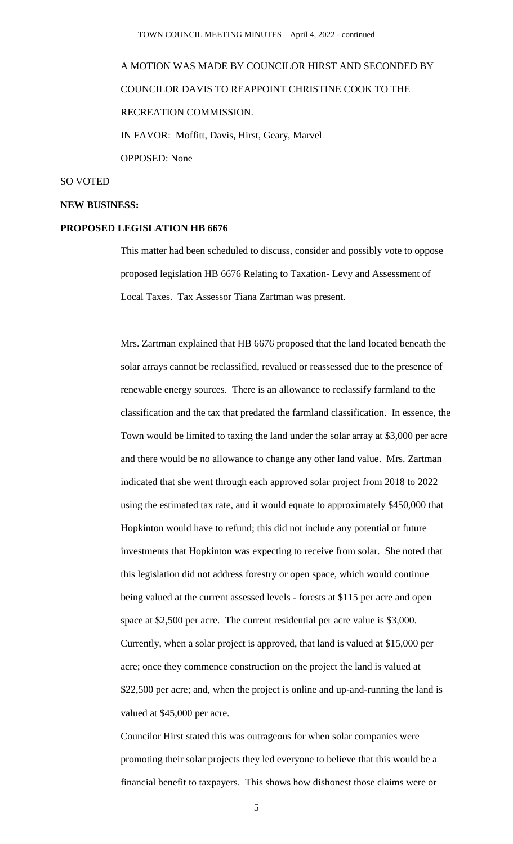A MOTION WAS MADE BY COUNCILOR HIRST AND SECONDED BY COUNCILOR DAVIS TO REAPPOINT CHRISTINE COOK TO THE RECREATION COMMISSION. IN FAVOR: Moffitt, Davis, Hirst, Geary, Marvel OPPOSED: None

## SO VOTED

#### **NEW BUSINESS:**

### **PROPOSED LEGISLATION HB 6676**

This matter had been scheduled to discuss, consider and possibly vote to oppose proposed legislation HB 6676 Relating to Taxation- Levy and Assessment of Local Taxes. Tax Assessor Tiana Zartman was present.

Mrs. Zartman explained that HB 6676 proposed that the land located beneath the solar arrays cannot be reclassified, revalued or reassessed due to the presence of renewable energy sources. There is an allowance to reclassify farmland to the classification and the tax that predated the farmland classification. In essence, the Town would be limited to taxing the land under the solar array at \$3,000 per acre and there would be no allowance to change any other land value. Mrs. Zartman indicated that she went through each approved solar project from 2018 to 2022 using the estimated tax rate, and it would equate to approximately \$450,000 that Hopkinton would have to refund; this did not include any potential or future investments that Hopkinton was expecting to receive from solar. She noted that this legislation did not address forestry or open space, which would continue being valued at the current assessed levels - forests at \$115 per acre and open space at \$2,500 per acre. The current residential per acre value is \$3,000. Currently, when a solar project is approved, that land is valued at \$15,000 per acre; once they commence construction on the project the land is valued at \$22,500 per acre; and, when the project is online and up-and-running the land is valued at \$45,000 per acre.

Councilor Hirst stated this was outrageous for when solar companies were promoting their solar projects they led everyone to believe that this would be a financial benefit to taxpayers. This shows how dishonest those claims were or

5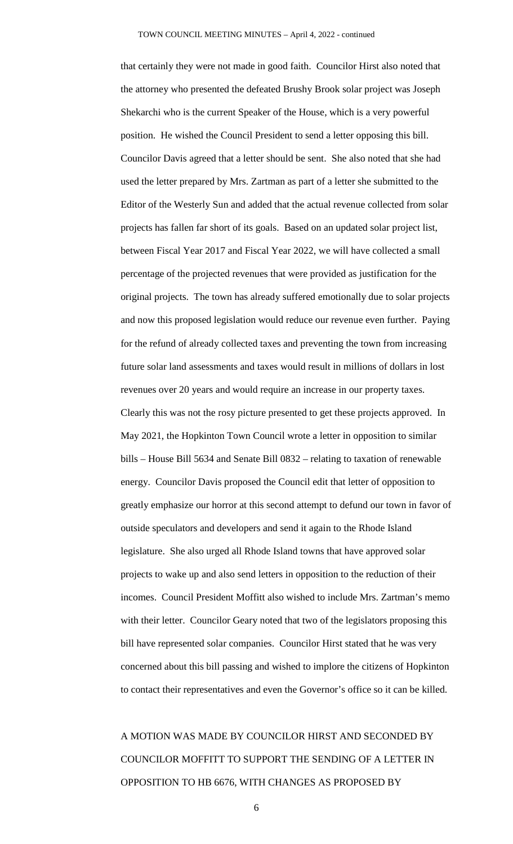that certainly they were not made in good faith. Councilor Hirst also noted that the attorney who presented the defeated Brushy Brook solar project was Joseph Shekarchi who is the current Speaker of the House, which is a very powerful position. He wished the Council President to send a letter opposing this bill. Councilor Davis agreed that a letter should be sent. She also noted that she had used the letter prepared by Mrs. Zartman as part of a letter she submitted to the Editor of the Westerly Sun and added that the actual revenue collected from solar projects has fallen far short of its goals. Based on an updated solar project list, between Fiscal Year 2017 and Fiscal Year 2022, we will have collected a small percentage of the projected revenues that were provided as justification for the original projects. The town has already suffered emotionally due to solar projects and now this proposed legislation would reduce our revenue even further. Paying for the refund of already collected taxes and preventing the town from increasing future solar land assessments and taxes would result in millions of dollars in lost revenues over 20 years and would require an increase in our property taxes. Clearly this was not the rosy picture presented to get these projects approved. In May 2021, the Hopkinton Town Council wrote a letter in opposition to similar bills – House Bill 5634 and Senate Bill 0832 – relating to taxation of renewable energy. Councilor Davis proposed the Council edit that letter of opposition to greatly emphasize our horror at this second attempt to defund our town in favor of outside speculators and developers and send it again to the Rhode Island legislature. She also urged all Rhode Island towns that have approved solar projects to wake up and also send letters in opposition to the reduction of their incomes. Council President Moffitt also wished to include Mrs. Zartman's memo with their letter. Councilor Geary noted that two of the legislators proposing this bill have represented solar companies. Councilor Hirst stated that he was very concerned about this bill passing and wished to implore the citizens of Hopkinton to contact their representatives and even the Governor's office so it can be killed.

A MOTION WAS MADE BY COUNCILOR HIRST AND SECONDED BY COUNCILOR MOFFITT TO SUPPORT THE SENDING OF A LETTER IN OPPOSITION TO HB 6676, WITH CHANGES AS PROPOSED BY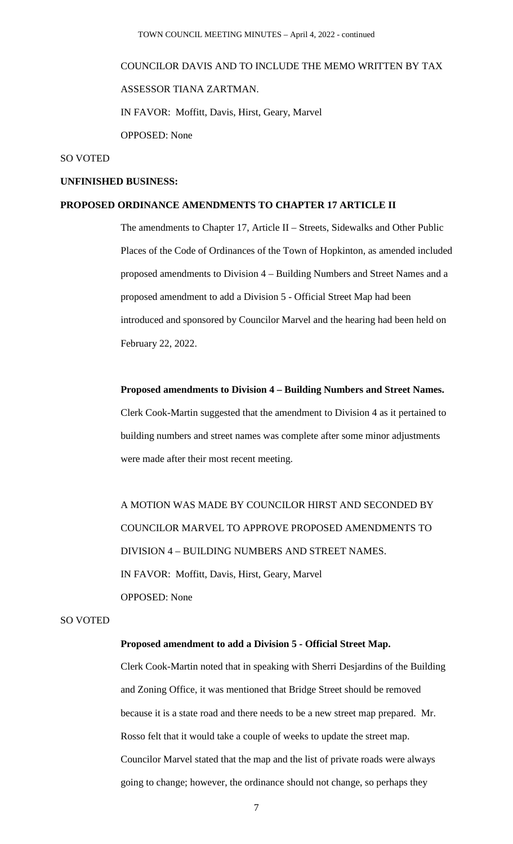# COUNCILOR DAVIS AND TO INCLUDE THE MEMO WRITTEN BY TAX ASSESSOR TIANA ZARTMAN. IN FAVOR: Moffitt, Davis, Hirst, Geary, Marvel OPPOSED: None

## SO VOTED

## **UNFINISHED BUSINESS:**

## **PROPOSED ORDINANCE AMENDMENTS TO CHAPTER 17 ARTICLE II**

The amendments to Chapter 17, Article II – Streets, Sidewalks and Other Public Places of the Code of Ordinances of the Town of Hopkinton, as amended included proposed amendments to Division 4 – Building Numbers and Street Names and a proposed amendment to add a Division 5 - Official Street Map had been introduced and sponsored by Councilor Marvel and the hearing had been held on February 22, 2022.

#### **Proposed amendments to Division 4 – Building Numbers and Street Names.**

Clerk Cook-Martin suggested that the amendment to Division 4 as it pertained to building numbers and street names was complete after some minor adjustments were made after their most recent meeting.

A MOTION WAS MADE BY COUNCILOR HIRST AND SECONDED BY COUNCILOR MARVEL TO APPROVE PROPOSED AMENDMENTS TO DIVISION 4 – BUILDING NUMBERS AND STREET NAMES. IN FAVOR: Moffitt, Davis, Hirst, Geary, Marvel OPPOSED: None

## SO VOTED

#### **Proposed amendment to add a Division 5 - Official Street Map.**

Clerk Cook-Martin noted that in speaking with Sherri Desjardins of the Building and Zoning Office, it was mentioned that Bridge Street should be removed because it is a state road and there needs to be a new street map prepared. Mr. Rosso felt that it would take a couple of weeks to update the street map. Councilor Marvel stated that the map and the list of private roads were always going to change; however, the ordinance should not change, so perhaps they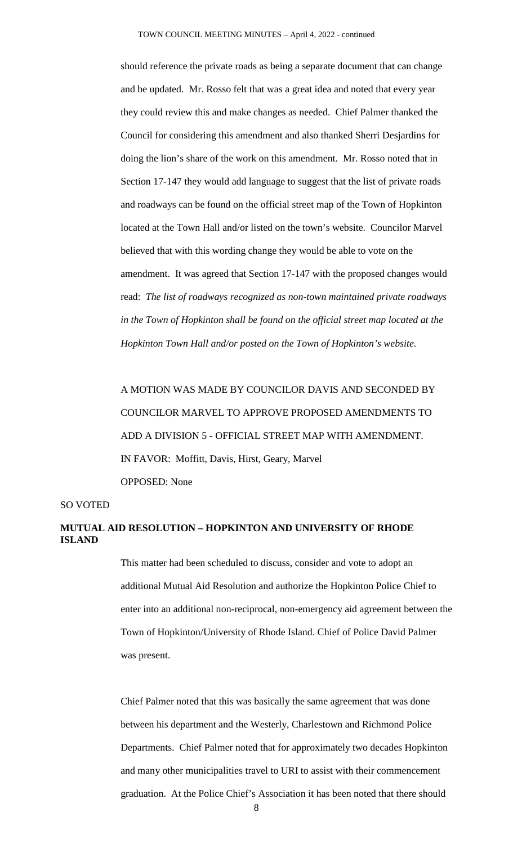should reference the private roads as being a separate document that can change and be updated. Mr. Rosso felt that was a great idea and noted that every year they could review this and make changes as needed. Chief Palmer thanked the Council for considering this amendment and also thanked Sherri Desjardins for doing the lion's share of the work on this amendment. Mr. Rosso noted that in Section 17-147 they would add language to suggest that the list of private roads and roadways can be found on the official street map of the Town of Hopkinton located at the Town Hall and/or listed on the town's website. Councilor Marvel believed that with this wording change they would be able to vote on the amendment. It was agreed that Section 17-147 with the proposed changes would read: *The list of roadways recognized as non-town maintained private roadways in the Town of Hopkinton shall be found on the official street map located at the Hopkinton Town Hall and/or posted on the Town of Hopkinton's website.*

A MOTION WAS MADE BY COUNCILOR DAVIS AND SECONDED BY COUNCILOR MARVEL TO APPROVE PROPOSED AMENDMENTS TO ADD A DIVISION 5 - OFFICIAL STREET MAP WITH AMENDMENT. IN FAVOR: Moffitt, Davis, Hirst, Geary, Marvel OPPOSED: None

## SO VOTED

# **MUTUAL AID RESOLUTION – HOPKINTON AND UNIVERSITY OF RHODE ISLAND**

This matter had been scheduled to discuss, consider and vote to adopt an additional Mutual Aid Resolution and authorize the Hopkinton Police Chief to enter into an additional non-reciprocal, non-emergency aid agreement between the Town of Hopkinton/University of Rhode Island. Chief of Police David Palmer was present.

Chief Palmer noted that this was basically the same agreement that was done between his department and the Westerly, Charlestown and Richmond Police Departments. Chief Palmer noted that for approximately two decades Hopkinton and many other municipalities travel to URI to assist with their commencement graduation. At the Police Chief's Association it has been noted that there should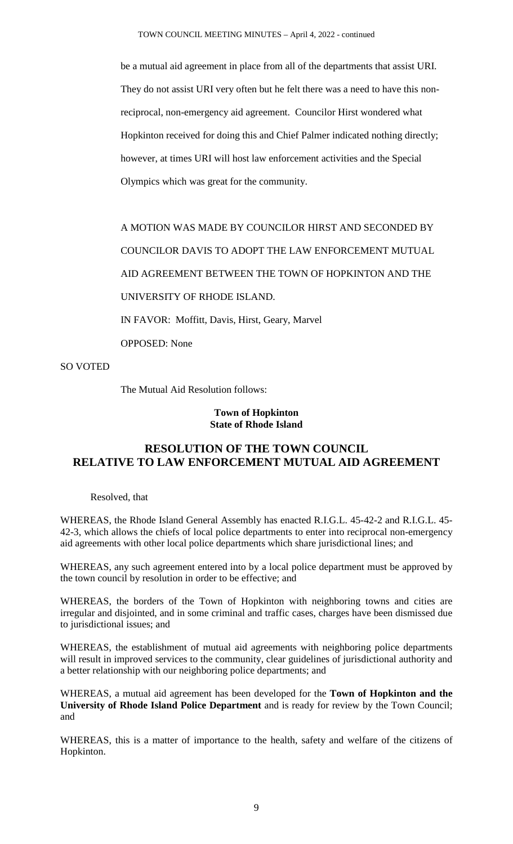be a mutual aid agreement in place from all of the departments that assist URI. They do not assist URI very often but he felt there was a need to have this nonreciprocal, non-emergency aid agreement. Councilor Hirst wondered what Hopkinton received for doing this and Chief Palmer indicated nothing directly; however, at times URI will host law enforcement activities and the Special Olympics which was great for the community.

A MOTION WAS MADE BY COUNCILOR HIRST AND SECONDED BY COUNCILOR DAVIS TO ADOPT THE LAW ENFORCEMENT MUTUAL AID AGREEMENT BETWEEN THE TOWN OF HOPKINTON AND THE UNIVERSITY OF RHODE ISLAND.

IN FAVOR: Moffitt, Davis, Hirst, Geary, Marvel

OPPOSED: None

SO VOTED

The Mutual Aid Resolution follows:

## **Town of Hopkinton State of Rhode Island**

# **RESOLUTION OF THE TOWN COUNCIL RELATIVE TO LAW ENFORCEMENT MUTUAL AID AGREEMENT**

Resolved, that

WHEREAS, the Rhode Island General Assembly has enacted R.I.G.L. 45-42-2 and R.I.G.L. 45- 42-3, which allows the chiefs of local police departments to enter into reciprocal non-emergency aid agreements with other local police departments which share jurisdictional lines; and

WHEREAS, any such agreement entered into by a local police department must be approved by the town council by resolution in order to be effective; and

WHEREAS, the borders of the Town of Hopkinton with neighboring towns and cities are irregular and disjointed, and in some criminal and traffic cases, charges have been dismissed due to jurisdictional issues; and

WHEREAS, the establishment of mutual aid agreements with neighboring police departments will result in improved services to the community, clear guidelines of jurisdictional authority and a better relationship with our neighboring police departments; and

WHEREAS, a mutual aid agreement has been developed for the **Town of Hopkinton and the University of Rhode Island Police Department** and is ready for review by the Town Council; and

WHEREAS, this is a matter of importance to the health, safety and welfare of the citizens of Hopkinton.